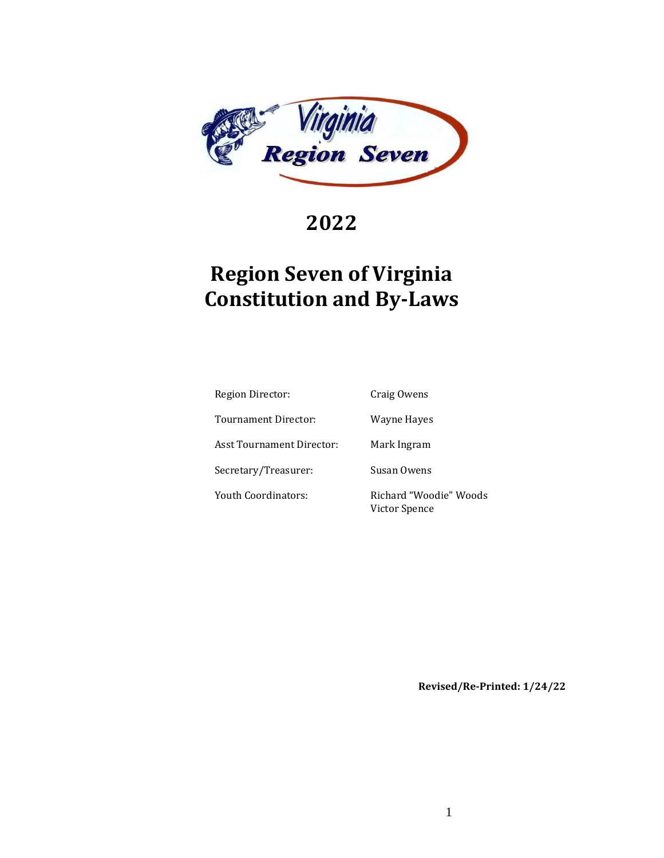

**2022**

# **Region Seven of Virginia Constitution and By-Laws**

| Region Director:          | Craig Owens                             |
|---------------------------|-----------------------------------------|
| Tournament Director:      | Wayne Hayes                             |
| Asst Tournament Director: | Mark Ingram                             |
| Secretary/Treasurer:      | Susan Owens                             |
| Youth Coordinators:       | Richard "Woodie" Woods<br>Victor Spence |

**Revised/Re-Printed: 1/24/22**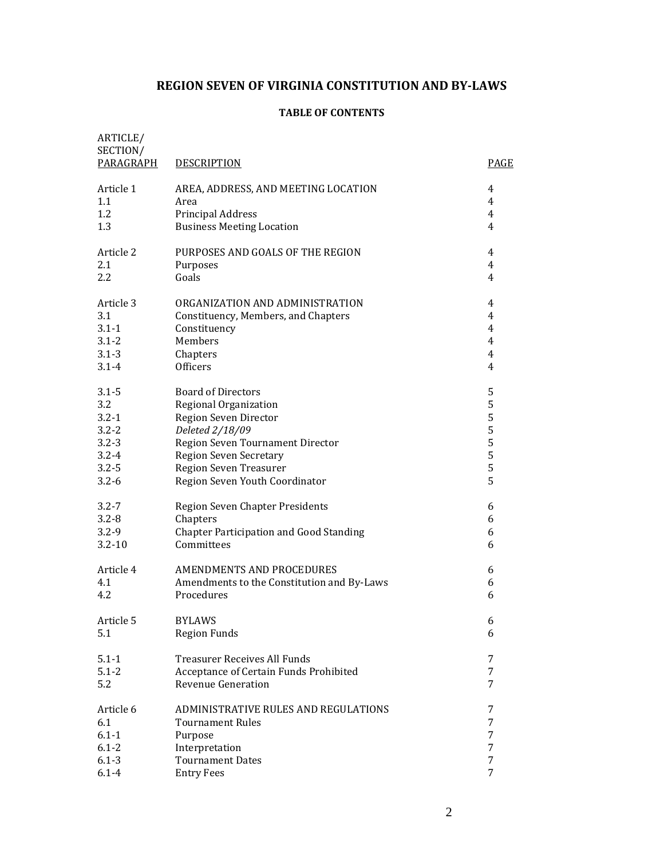# **REGION SEVEN OF VIRGINIA CONSTITUTION AND BY-LAWS**

# **TABLE OF CONTENTS**

| ARTICLE/<br>SECTION/<br>PARAGRAPH | <b>DESCRIPTION</b>                             | PAGE           |
|-----------------------------------|------------------------------------------------|----------------|
| Article 1                         | AREA, ADDRESS, AND MEETING LOCATION            | 4              |
| 1.1                               | Area                                           | 4              |
| 1.2                               | Principal Address                              | 4              |
| 1.3                               | <b>Business Meeting Location</b>               | 4              |
| Article 2                         | PURPOSES AND GOALS OF THE REGION               | 4              |
| 2.1                               | Purposes                                       | $\overline{4}$ |
| 2.2                               | Goals                                          | $\overline{4}$ |
| Article 3                         | ORGANIZATION AND ADMINISTRATION                | 4              |
| 3.1                               | Constituency, Members, and Chapters            | 4              |
| $3.1 - 1$                         | Constituency                                   | 4              |
| $3.1 - 2$                         | Members                                        | 4              |
| $3.1 - 3$                         | Chapters                                       | 4              |
| $3.1 - 4$                         | Officers                                       | 4              |
| $3.1 - 5$                         | <b>Board of Directors</b>                      | 5              |
| 3.2                               | Regional Organization                          | 5              |
| $3.2 - 1$                         | Region Seven Director                          | 5              |
| $3.2 - 2$                         | Deleted 2/18/09                                | 5              |
| $3.2 - 3$                         | Region Seven Tournament Director               | 5              |
| $3.2 - 4$                         | <b>Region Seven Secretary</b>                  | 5              |
| $3.2 - 5$                         | Region Seven Treasurer                         | 5              |
| $3.2 - 6$                         | Region Seven Youth Coordinator                 | 5              |
| $3.2 - 7$                         | Region Seven Chapter Presidents                | 6              |
| $3.2 - 8$                         | Chapters                                       | 6              |
| $3.2 - 9$                         | <b>Chapter Participation and Good Standing</b> | 6              |
| $3.2 - 10$                        | Committees                                     | 6              |
| Article 4                         | AMENDMENTS AND PROCEDURES                      | 6              |
| 4.1                               | Amendments to the Constitution and By-Laws     | 6              |
| 4.2                               | Procedures                                     | 6              |
| Article 5                         | <b>BYLAWS</b>                                  | 6              |
| 5.1                               | <b>Region Funds</b>                            | 6              |
| $5.1 - 1$                         | <b>Treasurer Receives All Funds</b>            | 7              |
| $5.1 - 2$                         | Acceptance of Certain Funds Prohibited         | 7              |
| 5.2                               | Revenue Generation                             | 7              |
| Article 6                         | ADMINISTRATIVE RULES AND REGULATIONS           | 7              |
| 6.1                               | <b>Tournament Rules</b>                        | 7              |
| $6.1 - 1$                         | Purpose                                        | 7              |
| $6.1 - 2$                         | Interpretation                                 | 7              |
| $6.1 - 3$                         | <b>Tournament Dates</b>                        | 7              |
| $6.1 - 4$                         | <b>Entry Fees</b>                              | 7              |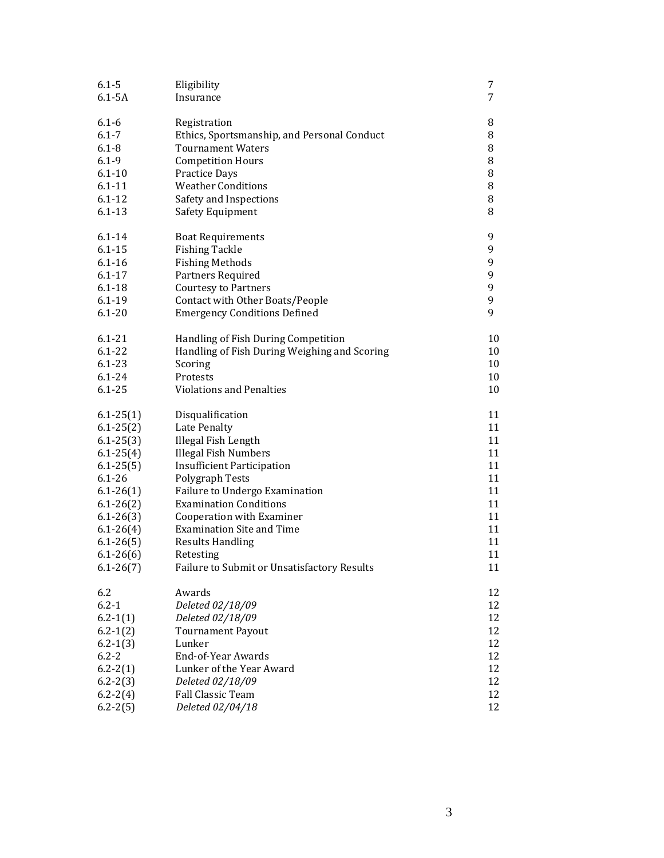| $6.1 - 5$                | Eligibility                                                                         | 7        |
|--------------------------|-------------------------------------------------------------------------------------|----------|
| $6.1 - 5A$               | Insurance                                                                           | 7        |
|                          |                                                                                     |          |
| $6.1 - 6$                | Registration                                                                        | 8        |
| $6.1 - 7$                | Ethics, Sportsmanship, and Personal Conduct                                         | 8        |
| $6.1 - 8$                | <b>Tournament Waters</b>                                                            | 8        |
| $6.1 - 9$                | <b>Competition Hours</b>                                                            | 8        |
| $6.1 - 10$               | <b>Practice Days</b>                                                                | 8        |
| $6.1 - 11$               | <b>Weather Conditions</b>                                                           | 8        |
| $6.1 - 12$               | Safety and Inspections                                                              | 8        |
| $6.1 - 13$               | Safety Equipment                                                                    | 8        |
|                          |                                                                                     |          |
| $6.1 - 14$               | <b>Boat Requirements</b>                                                            | 9        |
| $6.1 - 15$               | <b>Fishing Tackle</b>                                                               | 9        |
| $6.1 - 16$               | <b>Fishing Methods</b>                                                              | 9        |
| $6.1 - 17$               | Partners Required                                                                   | 9        |
| $6.1 - 18$               | <b>Courtesy to Partners</b>                                                         | 9        |
| $6.1 - 19$               | Contact with Other Boats/People                                                     | 9        |
| $6.1 - 20$               |                                                                                     | 9        |
|                          | <b>Emergency Conditions Defined</b>                                                 |          |
|                          |                                                                                     |          |
| $6.1 - 21$<br>$6.1 - 22$ | Handling of Fish During Competition<br>Handling of Fish During Weighing and Scoring | 10       |
| $6.1 - 23$               |                                                                                     | 10<br>10 |
|                          | Scoring                                                                             |          |
| $6.1 - 24$<br>$6.1 - 25$ | Protests<br><b>Violations and Penalties</b>                                         | 10       |
|                          |                                                                                     | 10       |
| $6.1 - 25(1)$            | Disqualification                                                                    | 11       |
| $6.1 - 25(2)$            | Late Penalty                                                                        | 11       |
|                          |                                                                                     | 11       |
| $6.1 - 25(3)$            | Illegal Fish Length                                                                 |          |
| $6.1 - 25(4)$            | <b>Illegal Fish Numbers</b>                                                         | 11       |
| $6.1 - 25(5)$            | <b>Insufficient Participation</b>                                                   | 11       |
| $6.1 - 26$               | Polygraph Tests                                                                     | 11       |
| $6.1 - 26(1)$            | Failure to Undergo Examination                                                      | 11       |
| $6.1 - 26(2)$            | <b>Examination Conditions</b>                                                       | 11       |
| $6.1 - 26(3)$            | Cooperation with Examiner                                                           | 11       |
| $6.1 - 26(4)$            | <b>Examination Site and Time</b>                                                    | 11       |
| $6.1 - 26(5)$            | <b>Results Handling</b>                                                             | 11       |
| $6.1 - 26(6)$            | Retesting                                                                           | 11       |
| $6.1 - 26(7)$            | Failure to Submit or Unsatisfactory Results                                         | 11       |
|                          |                                                                                     |          |
| 6.2                      | Awards                                                                              | 12       |
| $6.2 - 1$                | Deleted 02/18/09                                                                    | 12       |
| $6.2 - 1(1)$             | Deleted 02/18/09                                                                    | 12       |
| $6.2 - 1(2)$             | <b>Tournament Payout</b>                                                            | 12       |
| $6.2 - 1(3)$             | Lunker                                                                              | 12       |
| $6.2 - 2$                | End-of-Year Awards                                                                  | 12       |
| $6.2 - 2(1)$             | Lunker of the Year Award                                                            | 12       |
| $6.2 - 2(3)$             | Deleted 02/18/09                                                                    | 12       |
| $6.2 - 2(4)$             | Fall Classic Team                                                                   | 12       |
| $6.2 - 2(5)$             | Deleted 02/04/18                                                                    | 12       |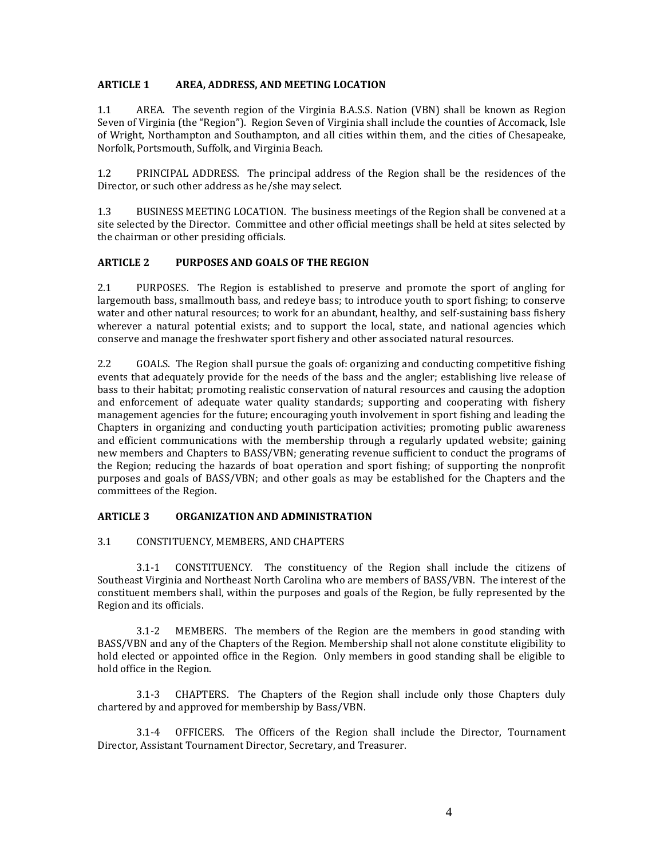#### **ARTICLE 1 AREA, ADDRESS, AND MEETING LOCATION**

1.1 AREA. The seventh region of the Virginia B.A.S.S. Nation (VBN) shall be known as Region Seven of Virginia (the "Region"). Region Seven of Virginia shall include the counties of Accomack, Isle of Wright, Northampton and Southampton, and all cities within them, and the cities of Chesapeake, Norfolk, Portsmouth, Suffolk, and Virginia Beach.

1.2 PRINCIPAL ADDRESS. The principal address of the Region shall be the residences of the Director, or such other address as he/she may select.

1.3 BUSINESS MEETING LOCATION. The business meetings of the Region shall be convened at a site selected by the Director. Committee and other official meetings shall be held at sites selected by the chairman or other presiding officials.

# **ARTICLE 2 PURPOSES AND GOALS OF THE REGION**

2.1 PURPOSES. The Region is established to preserve and promote the sport of angling for largemouth bass, smallmouth bass, and redeye bass; to introduce youth to sport fishing; to conserve water and other natural resources; to work for an abundant, healthy, and self-sustaining bass fishery wherever a natural potential exists; and to support the local, state, and national agencies which conserve and manage the freshwater sport fishery and other associated natural resources.

2.2 GOALS. The Region shall pursue the goals of: organizing and conducting competitive fishing events that adequately provide for the needs of the bass and the angler; establishing live release of bass to their habitat; promoting realistic conservation of natural resources and causing the adoption and enforcement of adequate water quality standards; supporting and cooperating with fishery management agencies for the future; encouraging youth involvement in sport fishing and leading the Chapters in organizing and conducting youth participation activities; promoting public awareness and efficient communications with the membership through a regularly updated website; gaining new members and Chapters to BASS/VBN; generating revenue sufficient to conduct the programs of the Region; reducing the hazards of boat operation and sport fishing; of supporting the nonprofit purposes and goals of BASS/VBN; and other goals as may be established for the Chapters and the committees of the Region.

## **ARTICLE 3 ORGANIZATION AND ADMINISTRATION**

#### 3.1 CONSTITUENCY, MEMBERS, AND CHAPTERS

3.1-1 CONSTITUENCY. The constituency of the Region shall include the citizens of Southeast Virginia and Northeast North Carolina who are members of BASS/VBN. The interest of the constituent members shall, within the purposes and goals of the Region, be fully represented by the Region and its officials.

3.1-2 MEMBERS. The members of the Region are the members in good standing with BASS/VBN and any of the Chapters of the Region. Membership shall not alone constitute eligibility to hold elected or appointed office in the Region. Only members in good standing shall be eligible to hold office in the Region.

3.1-3 CHAPTERS. The Chapters of the Region shall include only those Chapters duly chartered by and approved for membership by Bass/VBN.

3.1-4 OFFICERS. The Officers of the Region shall include the Director, Tournament Director, Assistant Tournament Director, Secretary, and Treasurer.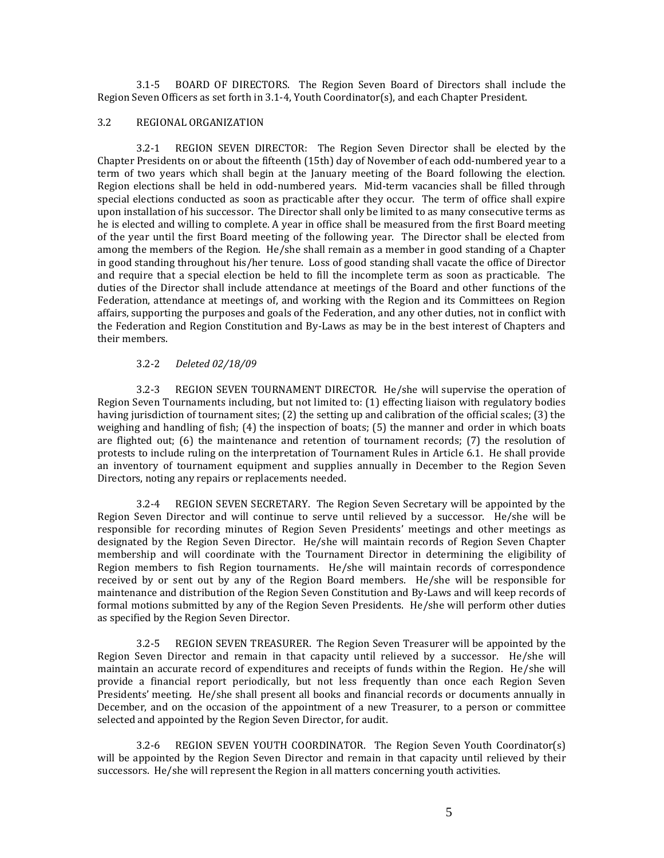3.1-5 BOARD OF DIRECTORS. The Region Seven Board of Directors shall include the Region Seven Officers as set forth in 3.1-4, Youth Coordinator(s), and each Chapter President.

#### 3.2 REGIONAL ORGANIZATION

3.2-1 REGION SEVEN DIRECTOR: The Region Seven Director shall be elected by the Chapter Presidents on or about the fifteenth (15th) day of November of each odd-numbered year to a term of two years which shall begin at the January meeting of the Board following the election. Region elections shall be held in odd-numbered years. Mid-term vacancies shall be filled through special elections conducted as soon as practicable after they occur. The term of office shall expire upon installation of his successor. The Director shall only be limited to as many consecutive terms as he is elected and willing to complete. A year in office shall be measured from the first Board meeting of the year until the first Board meeting of the following year. The Director shall be elected from among the members of the Region. He/she shall remain as a member in good standing of a Chapter in good standing throughout his/her tenure. Loss of good standing shall vacate the office of Director and require that a special election be held to fill the incomplete term as soon as practicable. The duties of the Director shall include attendance at meetings of the Board and other functions of the Federation, attendance at meetings of, and working with the Region and its Committees on Region affairs, supporting the purposes and goals of the Federation, and any other duties, not in conflict with the Federation and Region Constitution and By-Laws as may be in the best interest of Chapters and their members.

# 3.2-2 *Deleted 02/18/09*

3.2-3 REGION SEVEN TOURNAMENT DIRECTOR. He/she will supervise the operation of Region Seven Tournaments including, but not limited to: (1) effecting liaison with regulatory bodies having jurisdiction of tournament sites; (2) the setting up and calibration of the official scales; (3) the weighing and handling of fish; (4) the inspection of boats; (5) the manner and order in which boats are flighted out; (6) the maintenance and retention of tournament records; (7) the resolution of protests to include ruling on the interpretation of Tournament Rules in Article 6.1. He shall provide an inventory of tournament equipment and supplies annually in December to the Region Seven Directors, noting any repairs or replacements needed.

3.2-4 REGION SEVEN SECRETARY. The Region Seven Secretary will be appointed by the Region Seven Director and will continue to serve until relieved by a successor. He/she will be responsible for recording minutes of Region Seven Presidents' meetings and other meetings as designated by the Region Seven Director. He/she will maintain records of Region Seven Chapter membership and will coordinate with the Tournament Director in determining the eligibility of Region members to fish Region tournaments. He/she will maintain records of correspondence received by or sent out by any of the Region Board members. He/she will be responsible for maintenance and distribution of the Region Seven Constitution and By-Laws and will keep records of formal motions submitted by any of the Region Seven Presidents. He/she will perform other duties as specified by the Region Seven Director.

3.2-5 REGION SEVEN TREASURER. The Region Seven Treasurer will be appointed by the Region Seven Director and remain in that capacity until relieved by a successor. He/she will maintain an accurate record of expenditures and receipts of funds within the Region. He/she will provide a financial report periodically, but not less frequently than once each Region Seven Presidents' meeting. He/she shall present all books and financial records or documents annually in December, and on the occasion of the appointment of a new Treasurer, to a person or committee selected and appointed by the Region Seven Director, for audit.

3.2-6 REGION SEVEN YOUTH COORDINATOR. The Region Seven Youth Coordinator(s) will be appointed by the Region Seven Director and remain in that capacity until relieved by their successors. He/she will represent the Region in all matters concerning youth activities.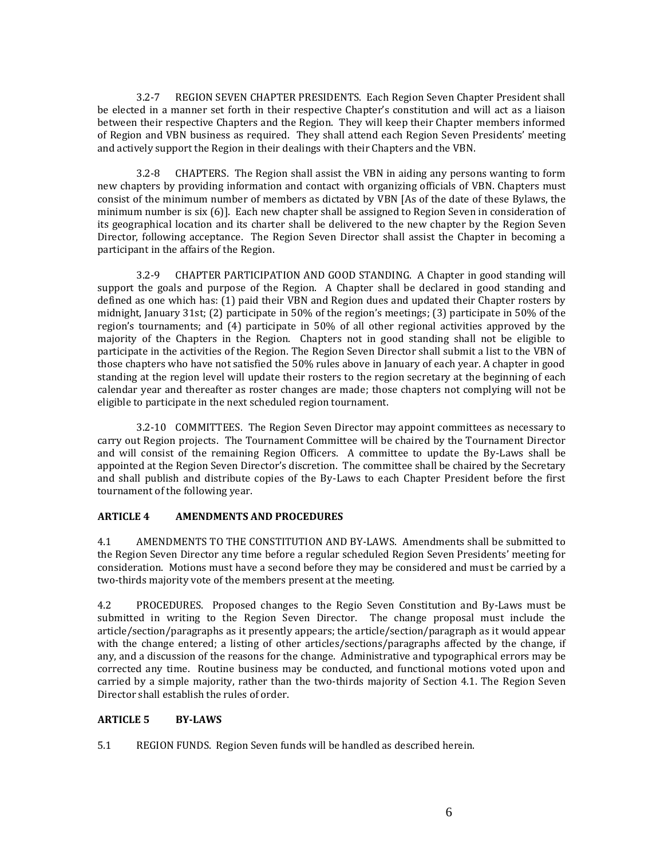3.2-7 REGION SEVEN CHAPTER PRESIDENTS. Each Region Seven Chapter President shall be elected in a manner set forth in their respective Chapter's constitution and will act as a liaison between their respective Chapters and the Region. They will keep their Chapter members informed of Region and VBN business as required. They shall attend each Region Seven Presidents' meeting and actively support the Region in their dealings with their Chapters and the VBN.

3.2-8 CHAPTERS. The Region shall assist the VBN in aiding any persons wanting to form new chapters by providing information and contact with organizing officials of VBN. Chapters must consist of the minimum number of members as dictated by VBN [As of the date of these Bylaws, the minimum number is six (6)]. Each new chapter shall be assigned to Region Seven in consideration of its geographical location and its charter shall be delivered to the new chapter by the Region Seven Director, following acceptance. The Region Seven Director shall assist the Chapter in becoming a participant in the affairs of the Region.

3.2-9 CHAPTER PARTICIPATION AND GOOD STANDING. A Chapter in good standing will support the goals and purpose of the Region.A Chapter shall be declared in good standing and defined as one which has: (1) paid their VBN and Region dues and updated their Chapter rosters by midnight, January 31st; (2) participate in 50% of the region's meetings; (3) participate in 50% of the region's tournaments; and (4) participate in 50% of all other regional activities approved by the majority of the Chapters in the Region. Chapters not in good standing shall not be eligible to participate in the activities of the Region. The Region Seven Director shall submit a list to the VBN of those chapters who have not satisfied the 50% rules above in January of each year. A chapter in good standing at the region level will update their rosters to the region secretary at the beginning of each calendar year and thereafter as roster changes are made; those chapters not complying will not be eligible to participate in the next scheduled region tournament.

3.2-10 COMMITTEES. The Region Seven Director may appoint committees as necessary to carry out Region projects. The Tournament Committee will be chaired by the Tournament Director and will consist of the remaining Region Officers. A committee to update the By-Laws shall be appointed at the Region Seven Director's discretion. The committee shall be chaired by the Secretary and shall publish and distribute copies of the By-Laws to each Chapter President before the first tournament of the following year.

## **ARTICLE 4 AMENDMENTS AND PROCEDURES**

4.1 AMENDMENTS TO THE CONSTITUTION AND BY-LAWS. Amendments shall be submitted to the Region Seven Director any time before a regular scheduled Region Seven Presidents' meeting for consideration. Motions must have a second before they may be considered and must be carried by a two-thirds majority vote of the members present at the meeting.

4.2 PROCEDURES. Proposed changes to the Regio Seven Constitution and By-Laws must be submitted in writing to the Region Seven Director. The change proposal must include the article/section/paragraphs as it presently appears; the article/section/paragraph as it would appear with the change entered; a listing of other articles/sections/paragraphs affected by the change, if any, and a discussion of the reasons for the change. Administrative and typographical errors may be corrected any time. Routine business may be conducted, and functional motions voted upon and carried by a simple majority, rather than the two-thirds majority of Section 4.1. The Region Seven Director shall establish the rules of order.

## **ARTICLE 5 BY-LAWS**

5.1 REGION FUNDS. Region Seven funds will be handled as described herein.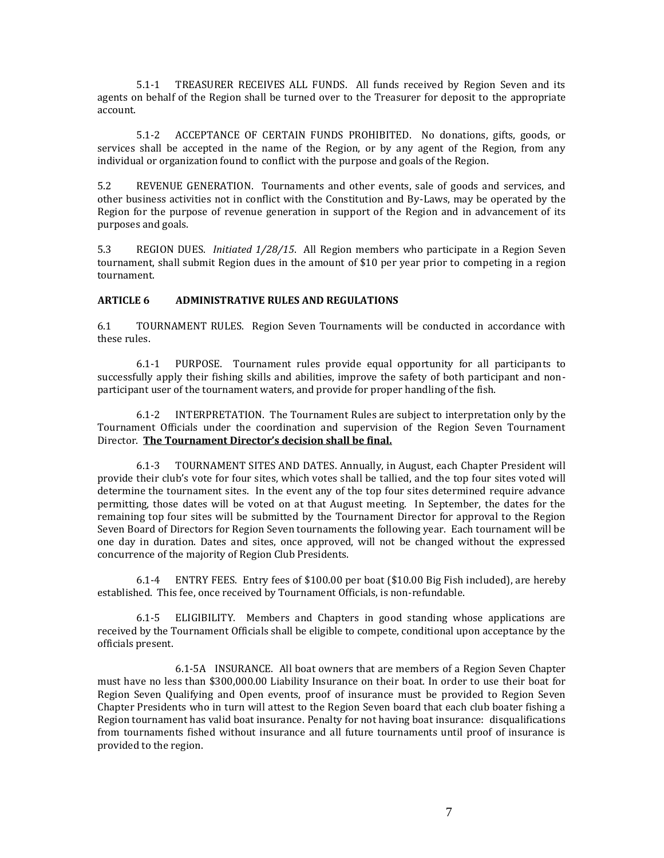5.1-1 TREASURER RECEIVES ALL FUNDS. All funds received by Region Seven and its agents on behalf of the Region shall be turned over to the Treasurer for deposit to the appropriate account.

5.1-2 ACCEPTANCE OF CERTAIN FUNDS PROHIBITED. No donations, gifts, goods, or services shall be accepted in the name of the Region, or by any agent of the Region, from any individual or organization found to conflict with the purpose and goals of the Region.

5.2 REVENUE GENERATION. Tournaments and other events, sale of goods and services, and other business activities not in conflict with the Constitution and By-Laws, may be operated by the Region for the purpose of revenue generation in support of the Region and in advancement of its purposes and goals.

5.3 REGION DUES. *Initiated 1/28/15*. All Region members who participate in a Region Seven tournament, shall submit Region dues in the amount of \$10 per year prior to competing in a region tournament.

#### **ARTICLE 6 ADMINISTRATIVE RULES AND REGULATIONS**

6.1 TOURNAMENT RULES. Region Seven Tournaments will be conducted in accordance with these rules.

6.1-1 PURPOSE. Tournament rules provide equal opportunity for all participants to successfully apply their fishing skills and abilities, improve the safety of both participant and nonparticipant user of the tournament waters, and provide for proper handling of the fish.

6.1-2 INTERPRETATION. The Tournament Rules are subject to interpretation only by the Tournament Officials under the coordination and supervision of the Region Seven Tournament Director. **The Tournament Director's decision shall be final.**

6.1-3 TOURNAMENT SITES AND DATES. Annually, in August, each Chapter President will provide their club's vote for four sites, which votes shall be tallied, and the top four sites voted will determine the tournament sites. In the event any of the top four sites determined require advance permitting, those dates will be voted on at that August meeting. In September, the dates for the remaining top four sites will be submitted by the Tournament Director for approval to the Region Seven Board of Directors for Region Seven tournaments the following year. Each tournament will be one day in duration. Dates and sites, once approved, will not be changed without the expressed concurrence of the majority of Region Club Presidents.

6.1-4 ENTRY FEES. Entry fees of \$100.00 per boat (\$10.00 Big Fish included), are hereby established. This fee, once received by Tournament Officials, is non-refundable.

6.1-5 ELIGIBILITY. Members and Chapters in good standing whose applications are received by the Tournament Officials shall be eligible to compete, conditional upon acceptance by the officials present.

6.1-5A INSURANCE. All boat owners that are members of a Region Seven Chapter must have no less than \$300,000.00 Liability Insurance on their boat. In order to use their boat for Region Seven Qualifying and Open events, proof of insurance must be provided to Region Seven Chapter Presidents who in turn will attest to the Region Seven board that each club boater fishing a Region tournament has valid boat insurance. Penalty for not having boat insurance: disqualifications from tournaments fished without insurance and all future tournaments until proof of insurance is provided to the region.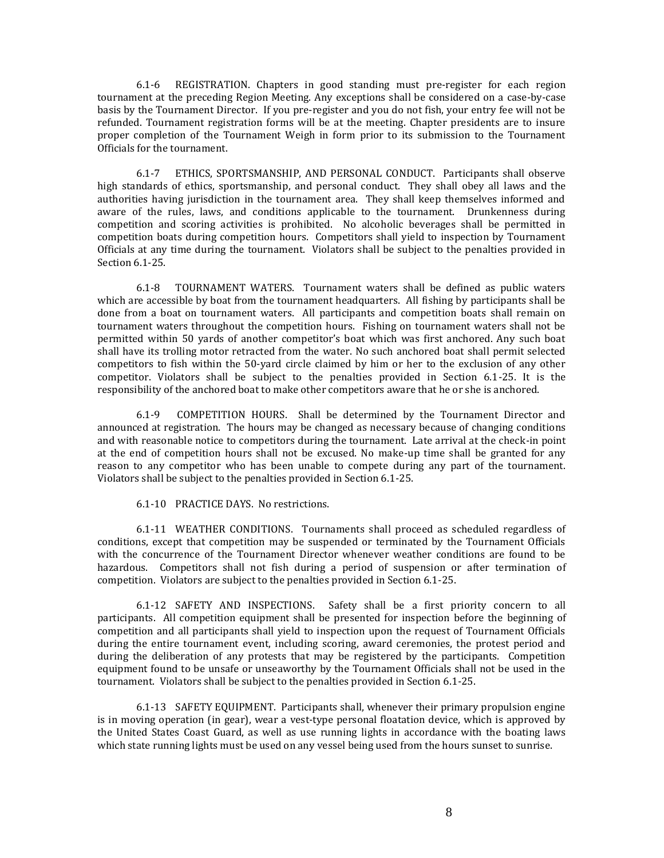6.1-6 REGISTRATION. Chapters in good standing must pre-register for each region tournament at the preceding Region Meeting. Any exceptions shall be considered on a case-by-case basis by the Tournament Director. If you pre-register and you do not fish, your entry fee will not be refunded. Tournament registration forms will be at the meeting. Chapter presidents are to insure proper completion of the Tournament Weigh in form prior to its submission to the Tournament Officials for the tournament.

6.1-7 ETHICS, SPORTSMANSHIP, AND PERSONAL CONDUCT. Participants shall observe high standards of ethics, sportsmanship, and personal conduct. They shall obey all laws and the authorities having jurisdiction in the tournament area. They shall keep themselves informed and aware of the rules, laws, and conditions applicable to the tournament. Drunkenness during competition and scoring activities is prohibited. No alcoholic beverages shall be permitted in competition boats during competition hours. Competitors shall yield to inspection by Tournament Officials at any time during the tournament. Violators shall be subject to the penalties provided in Section 6.1-25.

6.1-8 TOURNAMENT WATERS. Tournament waters shall be defined as public waters which are accessible by boat from the tournament headquarters. All fishing by participants shall be done from a boat on tournament waters. All participants and competition boats shall remain on tournament waters throughout the competition hours. Fishing on tournament waters shall not be permitted within 50 yards of another competitor's boat which was first anchored. Any such boat shall have its trolling motor retracted from the water. No such anchored boat shall permit selected competitors to fish within the 50-yard circle claimed by him or her to the exclusion of any other competitor. Violators shall be subject to the penalties provided in Section 6.1-25. It is the responsibility of the anchored boat to make other competitors aware that he or she is anchored.

6.1-9 COMPETITION HOURS. Shall be determined by the Tournament Director and announced at registration. The hours may be changed as necessary because of changing conditions and with reasonable notice to competitors during the tournament. Late arrival at the check-in point at the end of competition hours shall not be excused. No make-up time shall be granted for any reason to any competitor who has been unable to compete during any part of the tournament. Violators shall be subject to the penalties provided in Section 6.1-25.

6.1-10 PRACTICE DAYS. No restrictions.

6.1-11 WEATHER CONDITIONS. Tournaments shall proceed as scheduled regardless of conditions, except that competition may be suspended or terminated by the Tournament Officials with the concurrence of the Tournament Director whenever weather conditions are found to be hazardous. Competitors shall not fish during a period of suspension or after termination of competition. Violators are subject to the penalties provided in Section 6.1-25.

6.1-12 SAFETY AND INSPECTIONS. Safety shall be a first priority concern to all participants. All competition equipment shall be presented for inspection before the beginning of competition and all participants shall yield to inspection upon the request of Tournament Officials during the entire tournament event, including scoring, award ceremonies, the protest period and during the deliberation of any protests that may be registered by the participants. Competition equipment found to be unsafe or unseaworthy by the Tournament Officials shall not be used in the tournament. Violators shall be subject to the penalties provided in Section 6.1-25.

6.1-13 SAFETY EQUIPMENT. Participants shall, whenever their primary propulsion engine is in moving operation (in gear), wear a vest-type personal floatation device, which is approved by the United States Coast Guard, as well as use running lights in accordance with the boating laws which state running lights must be used on any vessel being used from the hours sunset to sunrise.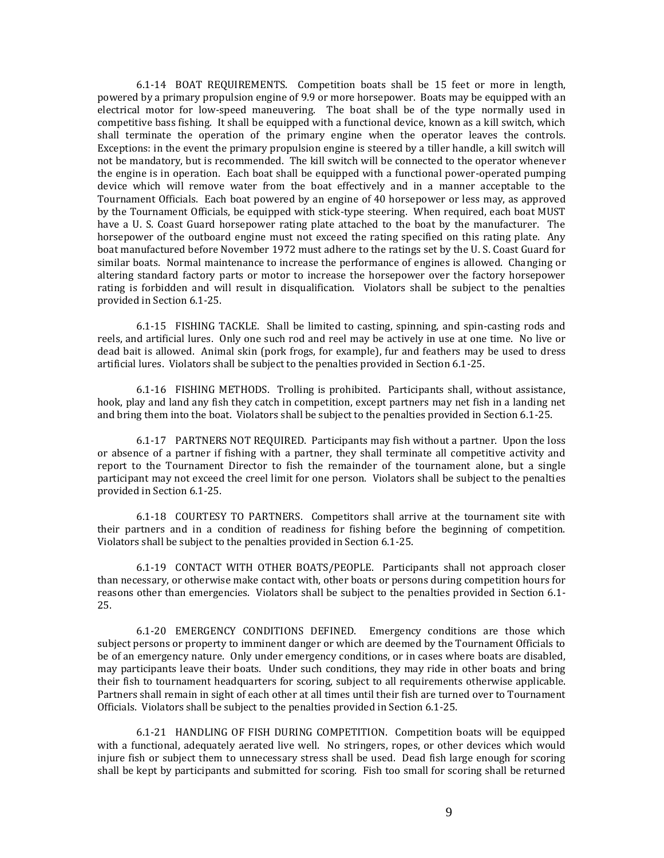6.1-14 BOAT REQUIREMENTS. Competition boats shall be 15 feet or more in length, powered by a primary propulsion engine of 9.9 or more horsepower. Boats may be equipped with an electrical motor for low-speed maneuvering. The boat shall be of the type normally used in competitive bass fishing. It shall be equipped with a functional device, known as a kill switch, which shall terminate the operation of the primary engine when the operator leaves the controls. Exceptions: in the event the primary propulsion engine is steered by a tiller handle, a kill switch will not be mandatory, but is recommended. The kill switch will be connected to the operator whenever the engine is in operation. Each boat shall be equipped with a functional power-operated pumping device which will remove water from the boat effectively and in a manner acceptable to the Tournament Officials. Each boat powered by an engine of 40 horsepower or less may, as approved by the Tournament Officials, be equipped with stick-type steering. When required, each boat MUST have a U. S. Coast Guard horsepower rating plate attached to the boat by the manufacturer. The horsepower of the outboard engine must not exceed the rating specified on this rating plate. Any boat manufactured before November 1972 must adhere to the ratings set by the U. S. Coast Guard for similar boats. Normal maintenance to increase the performance of engines is allowed. Changing or altering standard factory parts or motor to increase the horsepower over the factory horsepower rating is forbidden and will result in disqualification. Violators shall be subject to the penalties provided in Section 6.1-25.

6.1-15 FISHING TACKLE. Shall be limited to casting, spinning, and spin-casting rods and reels, and artificial lures. Only one such rod and reel may be actively in use at one time. No live or dead bait is allowed. Animal skin (pork frogs, for example), fur and feathers may be used to dress artificial lures. Violators shall be subject to the penalties provided in Section 6.1-25.

6.1-16 FISHING METHODS. Trolling is prohibited. Participants shall, without assistance, hook, play and land any fish they catch in competition, except partners may net fish in a landing net and bring them into the boat. Violators shall be subject to the penalties provided in Section 6.1-25.

6.1-17 PARTNERS NOT REQUIRED. Participants may fish without a partner. Upon the loss or absence of a partner if fishing with a partner, they shall terminate all competitive activity and report to the Tournament Director to fish the remainder of the tournament alone, but a single participant may not exceed the creel limit for one person. Violators shall be subject to the penalties provided in Section 6.1-25.

6.1-18 COURTESY TO PARTNERS. Competitors shall arrive at the tournament site with their partners and in a condition of readiness for fishing before the beginning of competition. Violators shall be subject to the penalties provided in Section 6.1-25.

6.1-19 CONTACT WITH OTHER BOATS/PEOPLE. Participants shall not approach closer than necessary, or otherwise make contact with, other boats or persons during competition hours for reasons other than emergencies. Violators shall be subject to the penalties provided in Section 6.1- 25.

6.1-20 EMERGENCY CONDITIONS DEFINED. Emergency conditions are those which subject persons or property to imminent danger or which are deemed by the Tournament Officials to be of an emergency nature. Only under emergency conditions, or in cases where boats are disabled, may participants leave their boats. Under such conditions, they may ride in other boats and bring their fish to tournament headquarters for scoring, subject to all requirements otherwise applicable. Partners shall remain in sight of each other at all times until their fish are turned over to Tournament Officials. Violators shall be subject to the penalties provided in Section 6.1-25.

6.1-21 HANDLING OF FISH DURING COMPETITION. Competition boats will be equipped with a functional, adequately aerated live well. No stringers, ropes, or other devices which would injure fish or subject them to unnecessary stress shall be used. Dead fish large enough for scoring shall be kept by participants and submitted for scoring. Fish too small for scoring shall be returned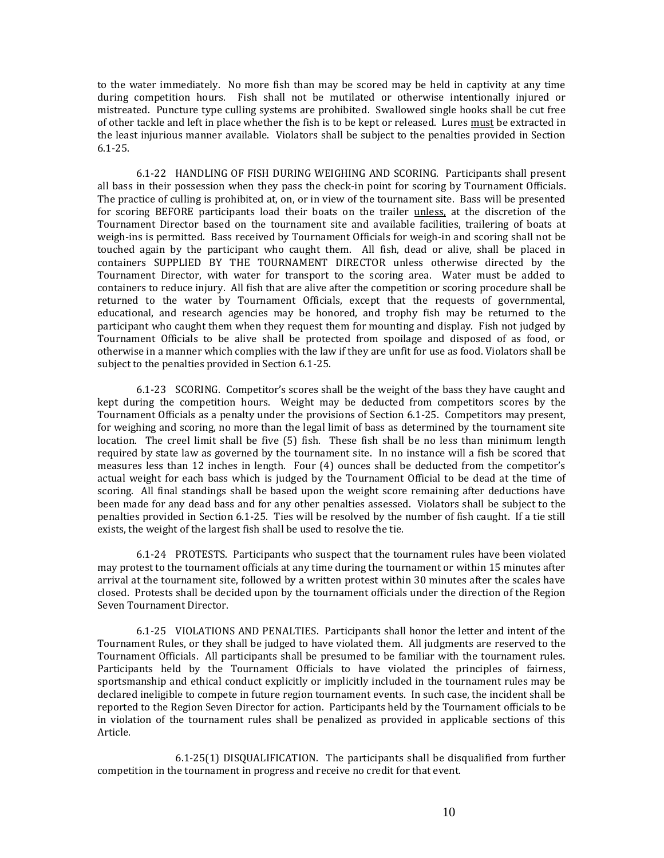to the water immediately. No more fish than may be scored may be held in captivity at any time during competition hours. Fish shall not be mutilated or otherwise intentionally injured or mistreated. Puncture type culling systems are prohibited. Swallowed single hooks shall be cut free of other tackle and left in place whether the fish is to be kept or released. Lures must be extracted in the least injurious manner available. Violators shall be subject to the penalties provided in Section 6.1-25.

6.1-22 HANDLING OF FISH DURING WEIGHING AND SCORING. Participants shall present all bass in their possession when they pass the check-in point for scoring by Tournament Officials. The practice of culling is prohibited at, on, or in view of the tournament site. Bass will be presented for scoring BEFORE participants load their boats on the trailer unless, at the discretion of the Tournament Director based on the tournament site and available facilities, trailering of boats at weigh-ins is permitted. Bass received by Tournament Officials for weigh-in and scoring shall not be touched again by the participant who caught them. All fish, dead or alive, shall be placed in containers SUPPLIED BY THE TOURNAMENT DIRECTOR unless otherwise directed by the Tournament Director, with water for transport to the scoring area. Water must be added to containers to reduce injury. All fish that are alive after the competition or scoring procedure shall be returned to the water by Tournament Officials, except that the requests of governmental, educational, and research agencies may be honored, and trophy fish may be returned to the participant who caught them when they request them for mounting and display. Fish not judged by Tournament Officials to be alive shall be protected from spoilage and disposed of as food, or otherwise in a manner which complies with the law if they are unfit for use as food. Violators shall be subject to the penalties provided in Section 6.1-25.

6.1-23 SCORING. Competitor's scores shall be the weight of the bass they have caught and kept during the competition hours. Weight may be deducted from competitors scores by the Tournament Officials as a penalty under the provisions of Section 6.1-25. Competitors may present, for weighing and scoring, no more than the legal limit of bass as determined by the tournament site location. The creel limit shall be five (5) fish. These fish shall be no less than minimum length required by state law as governed by the tournament site. In no instance will a fish be scored that measures less than 12 inches in length. Four (4) ounces shall be deducted from the competitor's actual weight for each bass which is judged by the Tournament Official to be dead at the time of scoring. All final standings shall be based upon the weight score remaining after deductions have been made for any dead bass and for any other penalties assessed. Violators shall be subject to the penalties provided in Section 6.1-25. Ties will be resolved by the number of fish caught. If a tie still exists, the weight of the largest fish shall be used to resolve the tie.

6.1-24 PROTESTS. Participants who suspect that the tournament rules have been violated may protest to the tournament officials at any time during the tournament or within 15 minutes after arrival at the tournament site, followed by a written protest within 30 minutes after the scales have closed. Protests shall be decided upon by the tournament officials under the direction of the Region Seven Tournament Director.

6.1-25 VIOLATIONS AND PENALTIES. Participants shall honor the letter and intent of the Tournament Rules, or they shall be judged to have violated them. All judgments are reserved to the Tournament Officials. All participants shall be presumed to be familiar with the tournament rules. Participants held by the Tournament Officials to have violated the principles of fairness, sportsmanship and ethical conduct explicitly or implicitly included in the tournament rules may be declared ineligible to compete in future region tournament events. In such case, the incident shall be reported to the Region Seven Director for action. Participants held by the Tournament officials to be in violation of the tournament rules shall be penalized as provided in applicable sections of this Article.

6.1-25(1) DISQUALIFICATION. The participants shall be disqualified from further competition in the tournament in progress and receive no credit for that event.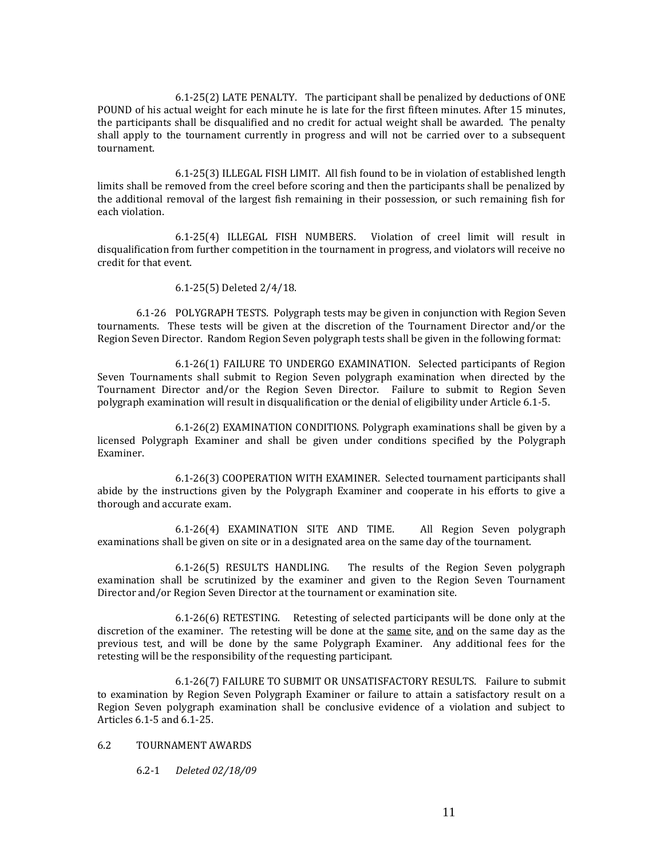6.1-25(2) LATE PENALTY. The participant shall be penalized by deductions of ONE POUND of his actual weight for each minute he is late for the first fifteen minutes. After 15 minutes, the participants shall be disqualified and no credit for actual weight shall be awarded. The penalty shall apply to the tournament currently in progress and will not be carried over to a subsequent tournament.

6.1-25(3) ILLEGAL FISH LIMIT. All fish found to be in violation of established length limits shall be removed from the creel before scoring and then the participants shall be penalized by the additional removal of the largest fish remaining in their possession, or such remaining fish for each violation.

6.1-25(4) ILLEGAL FISH NUMBERS. Violation of creel limit will result in disqualification from further competition in the tournament in progress, and violators will receive no credit for that event.

#### 6.1-25(5) Deleted 2/4/18.

6.1-26 POLYGRAPH TESTS. Polygraph tests may be given in conjunction with Region Seven tournaments. These tests will be given at the discretion of the Tournament Director and/or the Region Seven Director. Random Region Seven polygraph tests shall be given in the following format:

6.1-26(1) FAILURE TO UNDERGO EXAMINATION. Selected participants of Region Seven Tournaments shall submit to Region Seven polygraph examination when directed by the Tournament Director and/or the Region Seven Director. Failure to submit to Region Seven polygraph examination will result in disqualification or the denial of eligibility under Article 6.1-5.

6.1-26(2) EXAMINATION CONDITIONS. Polygraph examinations shall be given by a licensed Polygraph Examiner and shall be given under conditions specified by the Polygraph Examiner.

6.1-26(3) COOPERATION WITH EXAMINER. Selected tournament participants shall abide by the instructions given by the Polygraph Examiner and cooperate in his efforts to give a thorough and accurate exam.

6.1-26(4) EXAMINATION SITE AND TIME. All Region Seven polygraph examinations shall be given on site or in a designated area on the same day of the tournament.

6.1-26(5) RESULTS HANDLING. The results of the Region Seven polygraph examination shall be scrutinized by the examiner and given to the Region Seven Tournament Director and/or Region Seven Director at the tournament or examination site.

6.1-26(6) RETESTING. Retesting of selected participants will be done only at the discretion of the examiner. The retesting will be done at the same site, and on the same day as the previous test, and will be done by the same Polygraph Examiner. Any additional fees for the retesting will be the responsibility of the requesting participant.

6.1-26(7) FAILURE TO SUBMIT OR UNSATISFACTORY RESULTS. Failure to submit to examination by Region Seven Polygraph Examiner or failure to attain a satisfactory result on a Region Seven polygraph examination shall be conclusive evidence of a violation and subject to Articles 6.1-5 and 6.1-25.

#### 6.2 TOURNAMENT AWARDS

6.2-1 *Deleted 02/18/09*